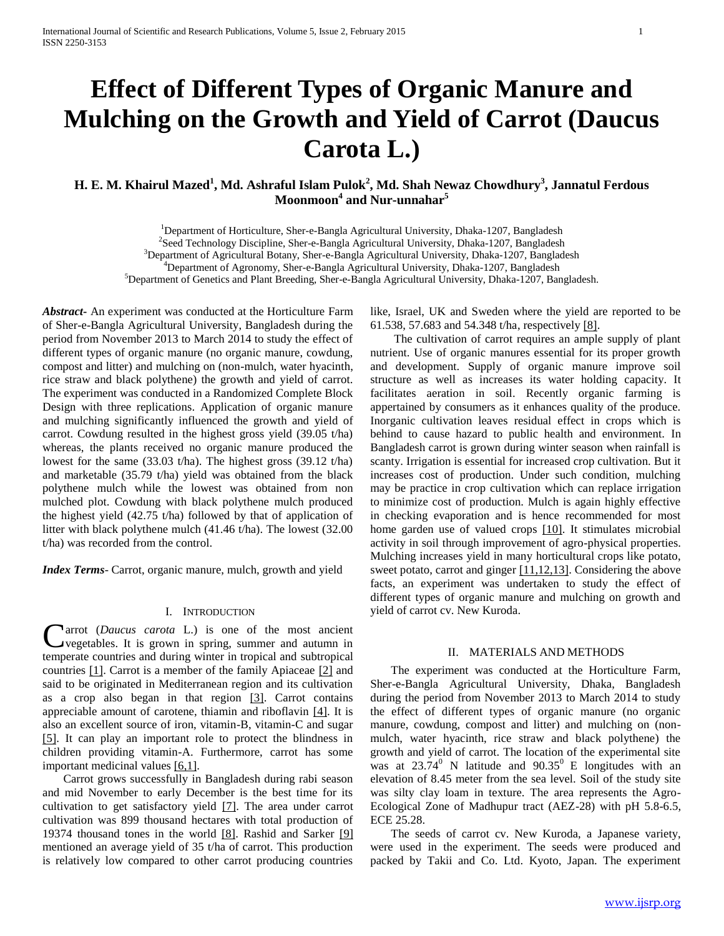# **Effect of Different Types of Organic Manure and Mulching on the Growth and Yield of Carrot (Daucus Carota L.)**

### **H. E. M. Khairul Mazed** $^1$ **, Md. Ashraful Islam Pulok** $^2$ **, Md. Shah Newaz Chowdhury** $^3$ **, Jannatul Ferdous Moonmoon<sup>4</sup> and Nur-unnahar<sup>5</sup>**

<sup>1</sup>Department of Horticulture, Sher-e-Bangla Agricultural University, Dhaka-1207, Bangladesh <sup>2</sup>Seed Technology Discipline, Sher-e-Bangla Agricultural University, Dhaka-1207, Bangladesh <sup>3</sup>Department of Agricultural Botany, Sher-e-Bangla Agricultural University, Dhaka-1207, Bangladesh <sup>4</sup>Department of Agronomy, Sher-e-Bangla Agricultural University, Dhaka-1207, Bangladesh <sup>5</sup>Department of Genetics and Plant Breeding, Sher-e-Bangla Agricultural University, Dhaka-1207, Bangladesh.

*Abstract***-** An experiment was conducted at the Horticulture Farm of Sher-e-Bangla Agricultural University, Bangladesh during the period from November 2013 to March 2014 to study the effect of different types of organic manure (no organic manure, cowdung, compost and litter) and mulching on (non-mulch, water hyacinth, rice straw and black polythene) the growth and yield of carrot. The experiment was conducted in a Randomized Complete Block Design with three replications. Application of organic manure and mulching significantly influenced the growth and yield of carrot. Cowdung resulted in the highest gross yield (39.05 t/ha) whereas, the plants received no organic manure produced the lowest for the same (33.03 t/ha). The highest gross (39.12 t/ha) and marketable (35.79 t/ha) yield was obtained from the black polythene mulch while the lowest was obtained from non mulched plot. Cowdung with black polythene mulch produced the highest yield (42.75 t/ha) followed by that of application of litter with black polythene mulch (41.46 t/ha). The lowest (32.00 t/ha) was recorded from the control.

*Index Terms*- Carrot, organic manure, mulch, growth and yield

### I. INTRODUCTION

arrot (*Daucus carota* L.) is one of the most ancient vegetables. It is grown in spring, summer and autumn in Carrot (Daucus carota L.) is one of the most ancient vegetables. It is grown in spring, summer and autumn in temperate countries and during winter in tropical and subtropical countries [1]. Carrot is a member of the family Apiaceae [2] and said to be originated in Mediterranean region and its cultivation as a crop also began in that region [3]. Carrot contains appreciable amount of carotene, thiamin and riboflavin [4]. It is also an excellent source of iron, vitamin-B, vitamin-C and sugar [5]. It can play an important role to protect the blindness in children providing vitamin-A. Furthermore, carrot has some important medicinal values [6,1].

 Carrot grows successfully in Bangladesh during rabi season and mid November to early December is the best time for its cultivation to get satisfactory yield [7]. The area under carrot cultivation was 899 thousand hectares with total production of 19374 thousand tones in the world [8]. Rashid and Sarker [9] mentioned an average yield of 35 t/ha of carrot. This production is relatively low compared to other carrot producing countries

like, Israel, UK and Sweden where the yield are reported to be 61.538, 57.683 and 54.348 t/ha, respectively [8].

 The cultivation of carrot requires an ample supply of plant nutrient. Use of organic manures essential for its proper growth and development. Supply of organic manure improve soil structure as well as increases its water holding capacity. It facilitates aeration in soil. Recently organic farming is appertained by consumers as it enhances quality of the produce. Inorganic cultivation leaves residual effect in crops which is behind to cause hazard to public health and environment. In Bangladesh carrot is grown during winter season when rainfall is scanty. Irrigation is essential for increased crop cultivation. But it increases cost of production. Under such condition, mulching may be practice in crop cultivation which can replace irrigation to minimize cost of production. Mulch is again highly effective in checking evaporation and is hence recommended for most home garden use of valued crops [10]. It stimulates microbial activity in soil through improvement of agro-physical properties. Mulching increases yield in many horticultural crops like potato, sweet potato, carrot and ginger [11,12,13]. Considering the above facts, an experiment was undertaken to study the effect of different types of organic manure and mulching on growth and yield of carrot cv. New Kuroda.

### II. MATERIALS AND METHODS

 The experiment was conducted at the Horticulture Farm, Sher-e-Bangla Agricultural University, Dhaka, Bangladesh during the period from November 2013 to March 2014 to study the effect of different types of organic manure (no organic manure, cowdung, compost and litter) and mulching on (nonmulch, water hyacinth, rice straw and black polythene) the growth and yield of carrot. The location of the experimental site was at  $23.74^{\circ}$  N latitude and  $90.35^{\circ}$  E longitudes with an elevation of 8.45 meter from the sea level. Soil of the study site was silty clay loam in texture. The area represents the Agro-Ecological Zone of Madhupur tract (AEZ-28) with pH 5.8-6.5, ECE 25.28.

 The seeds of carrot cv. New Kuroda, a Japanese variety, were used in the experiment. The seeds were produced and packed by Takii and Co. Ltd. Kyoto, Japan. The experiment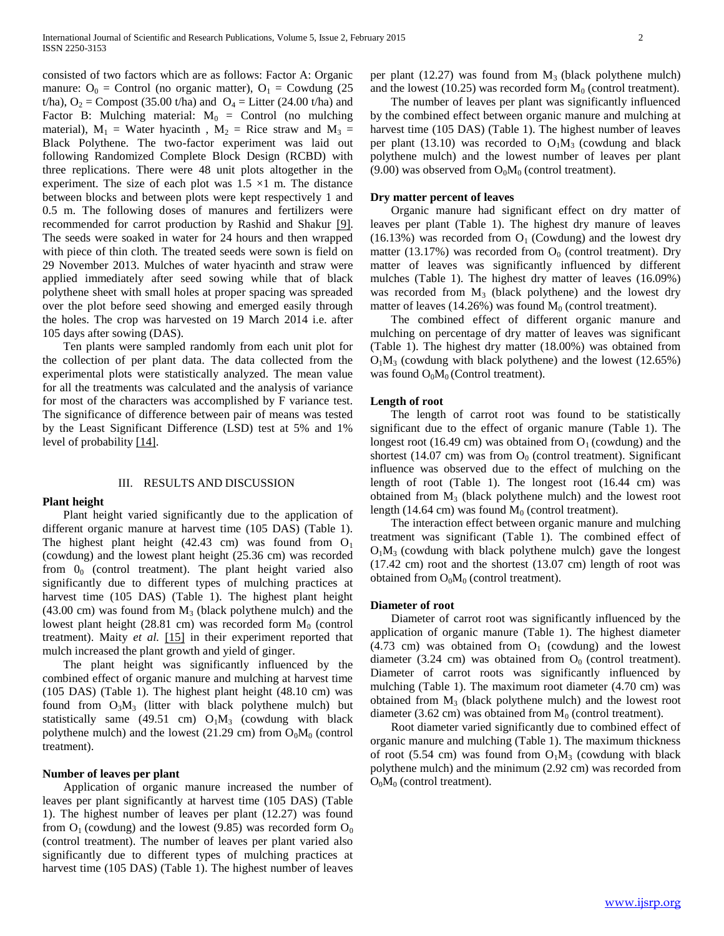consisted of two factors which are as follows: Factor A: Organic manure:  $O_0$  = Control (no organic matter),  $O_1$  = Cowdung (25) t/ha),  $O_2$  = Compost (35.00 t/ha) and  $O_4$  = Litter (24.00 t/ha) and Factor B: Mulching material:  $M_0 =$  Control (no mulching material),  $M_1$  = Water hyacinth,  $M_2$  = Rice straw and  $M_3$  = Black Polythene. The two-factor experiment was laid out following Randomized Complete Block Design (RCBD) with three replications. There were 48 unit plots altogether in the experiment. The size of each plot was  $1.5 \times 1$  m. The distance between blocks and between plots were kept respectively 1 and 0.5 m. The following doses of manures and fertilizers were recommended for carrot production by Rashid and Shakur [9]. The seeds were soaked in water for 24 hours and then wrapped with piece of thin cloth. The treated seeds were sown is field on 29 November 2013. Mulches of water hyacinth and straw were applied immediately after seed sowing while that of black polythene sheet with small holes at proper spacing was spreaded over the plot before seed showing and emerged easily through the holes. The crop was harvested on 19 March 2014 i.e. after 105 days after sowing (DAS).

 Ten plants were sampled randomly from each unit plot for the collection of per plant data. The data collected from the experimental plots were statistically analyzed. The mean value for all the treatments was calculated and the analysis of variance for most of the characters was accomplished by F variance test. The significance of difference between pair of means was tested by the Least Significant Difference (LSD) test at 5% and 1% level of probability [14].

### III. RESULTS AND DISCUSSION

### **Plant height**

 Plant height varied significantly due to the application of different organic manure at harvest time (105 DAS) (Table 1). The highest plant height (42.43 cm) was found from  $O_1$ (cowdung) and the lowest plant height (25.36 cm) was recorded from  $0<sub>0</sub>$  (control treatment). The plant height varied also significantly due to different types of mulching practices at harvest time (105 DAS) (Table 1). The highest plant height  $(43.00 \text{ cm})$  was found from  $M_3$  (black polythene mulch) and the lowest plant height (28.81 cm) was recorded form  $M_0$  (control treatment). Maity *et al.* [15] in their experiment reported that mulch increased the plant growth and yield of ginger.

 The plant height was significantly influenced by the combined effect of organic manure and mulching at harvest time (105 DAS) (Table 1). The highest plant height (48.10 cm) was found from  $O_3M_3$  (litter with black polythene mulch) but statistically same (49.51 cm)  $O_1M_3$  (cowdung with black polythene mulch) and the lowest (21.29 cm) from  $O_0M_0$  (control treatment).

### **Number of leaves per plant**

 Application of organic manure increased the number of leaves per plant significantly at harvest time (105 DAS) (Table 1). The highest number of leaves per plant (12.27) was found from  $O_1$  (cowdung) and the lowest (9.85) was recorded form  $O_0$ (control treatment). The number of leaves per plant varied also significantly due to different types of mulching practices at harvest time (105 DAS) (Table 1). The highest number of leaves

per plant (12.27) was found from  $M_3$  (black polythene mulch) and the lowest (10.25) was recorded form  $M_0$  (control treatment).

 The number of leaves per plant was significantly influenced by the combined effect between organic manure and mulching at harvest time (105 DAS) (Table 1). The highest number of leaves per plant (13.10) was recorded to  $O_1M_3$  (cowdung and black polythene mulch) and the lowest number of leaves per plant (9.00) was observed from  $O_0M_0$  (control treatment).

### **Dry matter percent of leaves**

 Organic manure had significant effect on dry matter of leaves per plant (Table 1). The highest dry manure of leaves (16.13%) was recorded from  $O_1$  (Cowdung) and the lowest dry matter (13.17%) was recorded from  $O_0$  (control treatment). Dry matter of leaves was significantly influenced by different mulches (Table 1). The highest dry matter of leaves (16.09%) was recorded from  $M_3$  (black polythene) and the lowest dry matter of leaves (14.26%) was found  $M_0$  (control treatment).

 The combined effect of different organic manure and mulching on percentage of dry matter of leaves was significant (Table 1). The highest dry matter (18.00%) was obtained from  $O<sub>1</sub>M<sub>3</sub>$  (cowdung with black polythene) and the lowest (12.65%) was found  $O_0M_0$  (Control treatment).

### **Length of root**

 The length of carrot root was found to be statistically significant due to the effect of organic manure (Table 1). The longest root (16.49 cm) was obtained from  $O_1$  (cowdung) and the shortest (14.07 cm) was from  $O_0$  (control treatment). Significant influence was observed due to the effect of mulching on the length of root (Table 1). The longest root (16.44 cm) was obtained from  $M_3$  (black polythene mulch) and the lowest root length (14.64 cm) was found  $M_0$  (control treatment).

 The interaction effect between organic manure and mulching treatment was significant (Table 1). The combined effect of  $O<sub>1</sub>M<sub>3</sub>$  (cowdung with black polythene mulch) gave the longest (17.42 cm) root and the shortest (13.07 cm) length of root was obtained from  $O_0M_0$  (control treatment).

### **Diameter of root**

 Diameter of carrot root was significantly influenced by the application of organic manure (Table 1). The highest diameter (4.73 cm) was obtained from  $O<sub>1</sub>$  (cowdung) and the lowest diameter (3.24 cm) was obtained from  $O_0$  (control treatment). Diameter of carrot roots was significantly influenced by mulching (Table 1). The maximum root diameter (4.70 cm) was obtained from  $M<sub>3</sub>$  (black polythene mulch) and the lowest root diameter (3.62 cm) was obtained from  $M_0$  (control treatment).

 Root diameter varied significantly due to combined effect of organic manure and mulching (Table 1). The maximum thickness of root (5.54 cm) was found from  $O_1M_3$  (cowdung with black polythene mulch) and the minimum (2.92 cm) was recorded from  $O_0M_0$  (control treatment).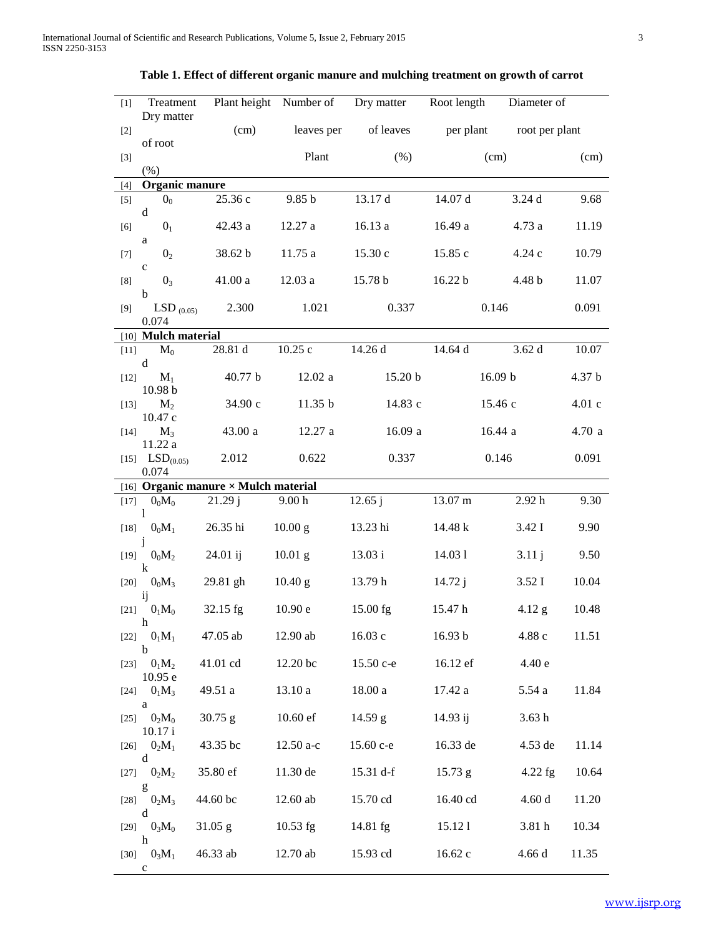| $[1]$  | Treatment                                                                                                                                                                                                                                                                                                                                                                                                                                            |                                      |                   | Plant height Number of Dry matter | Root length<br>Diameter of |                |        |  |  |  |
|--------|------------------------------------------------------------------------------------------------------------------------------------------------------------------------------------------------------------------------------------------------------------------------------------------------------------------------------------------------------------------------------------------------------------------------------------------------------|--------------------------------------|-------------------|-----------------------------------|----------------------------|----------------|--------|--|--|--|
| $[2]$  | Dry matter                                                                                                                                                                                                                                                                                                                                                                                                                                           | (cm)                                 | leaves per        | of leaves                         | per plant                  | root per plant |        |  |  |  |
| $[3]$  | of root                                                                                                                                                                                                                                                                                                                                                                                                                                              |                                      | Plant             | (% )                              | (cm)                       |                | (cm)   |  |  |  |
|        | (% )<br>Organic manure                                                                                                                                                                                                                                                                                                                                                                                                                               |                                      |                   |                                   |                            |                |        |  |  |  |
| $[4]$  |                                                                                                                                                                                                                                                                                                                                                                                                                                                      |                                      |                   |                                   |                            |                |        |  |  |  |
| $[5]$  | 0 <sub>0</sub><br>d                                                                                                                                                                                                                                                                                                                                                                                                                                  | 25.36 c                              | 9.85 <sub>b</sub> | 13.17 d                           | 14.07 d                    | 3.24d          | 9.68   |  |  |  |
| [6]    | 0 <sub>1</sub><br>a                                                                                                                                                                                                                                                                                                                                                                                                                                  | 42.43 a                              | 12.27 a           | 16.13 a                           | 16.49 a                    | 4.73 a         | 11.19  |  |  |  |
| $[7]$  | 0 <sub>2</sub><br>$\mathbf c$                                                                                                                                                                                                                                                                                                                                                                                                                        | 38.62 b                              | 11.75 a           | 15.30c                            | 15.85 c                    | 4.24 c         | 10.79  |  |  |  |
| [8]    | 0 <sub>3</sub><br>$\mathbf b$                                                                                                                                                                                                                                                                                                                                                                                                                        | 41.00a                               | 12.03a            | 15.78 b                           | 16.22 b                    | 4.48 b         |        |  |  |  |
| [9]    | $LSD_{(0.05)}$<br>0.074                                                                                                                                                                                                                                                                                                                                                                                                                              | 2.300                                | 1.021             | 0.337                             |                            | 0.146          | 0.091  |  |  |  |
|        | [10] <b>Mulch material</b>                                                                                                                                                                                                                                                                                                                                                                                                                           |                                      |                   |                                   |                            |                |        |  |  |  |
| $[11]$ | $\mathbf{M}_0$                                                                                                                                                                                                                                                                                                                                                                                                                                       | $28.81~\mathrm{d}$                   | 10.25c            | 14.26 d                           | 14.64 d                    | 3.62d          | 10.07  |  |  |  |
|        | d                                                                                                                                                                                                                                                                                                                                                                                                                                                    |                                      |                   |                                   |                            |                |        |  |  |  |
| $[12]$ | $M_1$<br>10.98 b                                                                                                                                                                                                                                                                                                                                                                                                                                     | 40.77 b                              | 12.02a            | 15.20 b                           |                            | 16.09 b        | 4.37 b |  |  |  |
| $[13]$ | $M_2$<br>10.47c                                                                                                                                                                                                                                                                                                                                                                                                                                      | 34.90 c                              | 11.35 b           | 14.83 c                           |                            | 15.46c         | 4.01c  |  |  |  |
| $[14]$ | $M_3$<br>11.22 a                                                                                                                                                                                                                                                                                                                                                                                                                                     | 43.00 a                              | 12.27 a           | 16.09a                            |                            | 16.44 a        | 4.70 a |  |  |  |
|        | [15] $LSD(0.05)$<br>0.074                                                                                                                                                                                                                                                                                                                                                                                                                            | 2.012                                | 0.622             | 0.337                             |                            | 0.146          | 0.091  |  |  |  |
|        |                                                                                                                                                                                                                                                                                                                                                                                                                                                      | [16] Organic manure × Mulch material |                   |                                   |                            |                |        |  |  |  |
| $[17]$ | $0_0M_0$<br>1                                                                                                                                                                                                                                                                                                                                                                                                                                        | 21.29 j                              | 9.00 <sub>h</sub> | 12.65j                            | 13.07 m                    | 2.92h          | 9.30   |  |  |  |
| $[18]$ | $0_0M_1$                                                                                                                                                                                                                                                                                                                                                                                                                                             | 26.35 hi                             | $10.00$ g         | 13.23 hi                          | 14.48 k                    | 3.42 I         | 9.90   |  |  |  |
| $[19]$ | j<br>$0_0M_2$<br>$\bf k$                                                                                                                                                                                                                                                                                                                                                                                                                             | 24.01 ij                             | $10.01$ g         | 13.03 i                           | 14.031                     | 3.11j          | 9.50   |  |  |  |
| $[20]$ | $0_0M_3$<br>ij                                                                                                                                                                                                                                                                                                                                                                                                                                       | 29.81 gh                             | 10.40 g           | 13.79 h                           | 14.72j                     | 3.52I          | 10.04  |  |  |  |
|        | [21] $0_1M_0$<br>h                                                                                                                                                                                                                                                                                                                                                                                                                                   | 32.15 fg                             | 10.90 e           | $15.00$ fg                        | 15.47 h                    | $4.12$ g       | 10.48  |  |  |  |
|        | [22] $0_1M_1$<br>b                                                                                                                                                                                                                                                                                                                                                                                                                                   | 47.05 ab                             | $12.90$ ab        | 16.03c                            | 16.93 b                    | 4.88c          | 11.51  |  |  |  |
| $[23]$ | 0 <sub>1</sub> M <sub>2</sub><br>10.95 e                                                                                                                                                                                                                                                                                                                                                                                                             | 41.01 cd                             | 12.20 bc          | 15.50 c-e                         | 16.12 ef                   | 4.40e          |        |  |  |  |
|        | [24] $0_1M_3$<br>a                                                                                                                                                                                                                                                                                                                                                                                                                                   | 49.51 a                              | 13.10 a           | 18.00a                            | 17.42 a                    | 5.54 a         | 11.84  |  |  |  |
| [25]   | 0 <sub>2</sub> M <sub>0</sub><br>10.17 i                                                                                                                                                                                                                                                                                                                                                                                                             | $30.75$ g                            | 10.60 ef          | 14.59 g                           | 14.93 ij                   | 3.63h          |        |  |  |  |
|        | [26] $0_2M_1$<br>d                                                                                                                                                                                                                                                                                                                                                                                                                                   | 43.35 bc                             | $12.50$ a-c       | 15.60 с-е                         | 16.33 de                   | 4.53 de        | 11.14  |  |  |  |
| [27]   | $0_2M_2$                                                                                                                                                                                                                                                                                                                                                                                                                                             | 35.80 ef                             | 11.30 de          | 15.31 d-f                         | $15.73$ g                  | $4.22$ fg      | 10.64  |  |  |  |
|        | $\mathbf{g}% _{T}=\mathbf{g}_{T}=\mathbf{g}_{T}=\mathbf{g}_{T}=\mathbf{g}_{T}=\mathbf{g}_{T}=\mathbf{g}_{T}=\mathbf{g}_{T}=\mathbf{g}_{T}=\mathbf{g}_{T}=\mathbf{g}_{T}=\mathbf{g}_{T}=\mathbf{g}_{T}=\mathbf{g}_{T}=\mathbf{g}_{T}=\mathbf{g}_{T}=\mathbf{g}_{T}=\mathbf{g}_{T}=\mathbf{g}_{T}=\mathbf{g}_{T}=\mathbf{g}_{T}=\mathbf{g}_{T}=\mathbf{g}_{T}=\mathbf{g}_{T}=\mathbf{g}_{T}=\mathbf{g}_{T}=\mathbf{g}_{T}=\math$<br>[28] $0_2M_3$<br>d | 44.60 bc                             | 12.60 ab          | 15.70 cd                          | 16.40 cd                   | 4.60d          | 11.20  |  |  |  |
| [29]   | 0 <sub>3</sub> M <sub>0</sub><br>h                                                                                                                                                                                                                                                                                                                                                                                                                   | $31.05$ g                            | $10.53$ fg        | 14.81 fg                          | 15.121                     | 3.81 h         | 10.34  |  |  |  |
| [30]   | 0 <sub>3</sub> M <sub>1</sub><br>$\mathbf c$                                                                                                                                                                                                                                                                                                                                                                                                         | 46.33 ab                             | 12.70 ab          | 15.93 cd                          | 16.62 c                    | 4.66d          | 11.35  |  |  |  |

## **Table 1. Effect of different organic manure and mulching treatment on growth of carrot**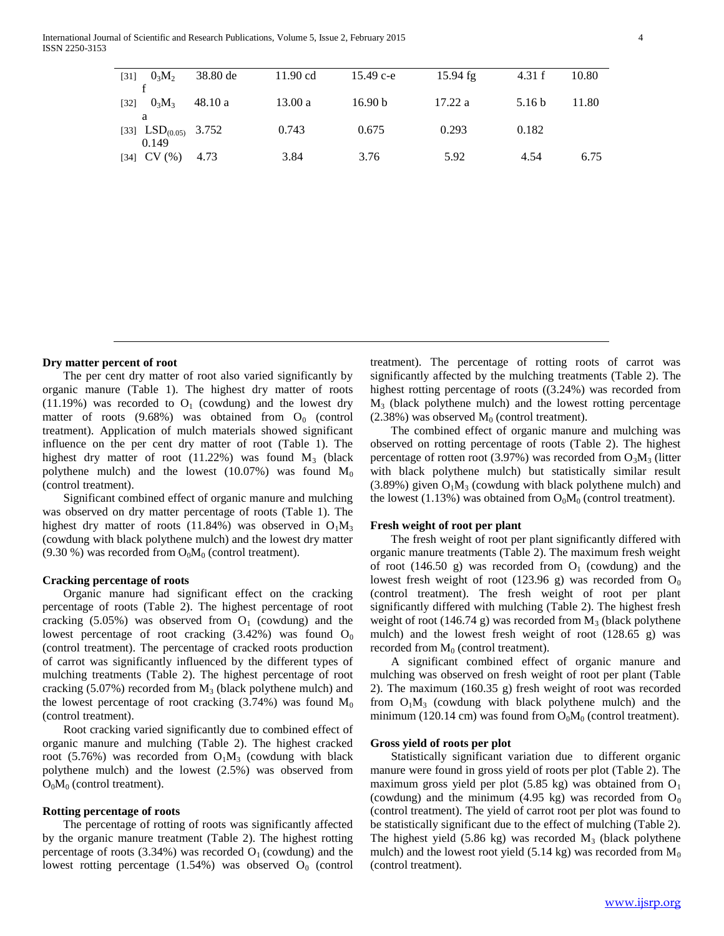| $[31]$ | $0_3M_2$               | 38.80 de | $11.90 \text{ cd}$ | 15.49 c-e          | $15.94$ fg | 4.31 f            | 10.80 |
|--------|------------------------|----------|--------------------|--------------------|------------|-------------------|-------|
|        |                        |          |                    |                    |            |                   |       |
| $[32]$ | $0_{3}M_{3}$           | 48.10 a  | 13.00 a            | 16.90 <sub>b</sub> | 17.22a     | 5.16 <sub>b</sub> | 11.80 |
|        | a                      |          |                    |                    |            |                   |       |
|        | [33] $LSD(0.05)$ 3.752 |          | 0.743              | 0.675              | 0.293      | 0.182             |       |
|        | 0.149                  |          |                    |                    |            |                   |       |
|        | $[34]$ CV $(\% )$      | 4.73     | 3.84               | 3.76               | 5.92       | 4.54              | 6.75  |
|        |                        |          |                    |                    |            |                   |       |

### **Dry matter percent of root**

 The per cent dry matter of root also varied significantly by organic manure (Table 1). The highest dry matter of roots (11.19%) was recorded to  $O<sub>1</sub>$  (cowdung) and the lowest dry matter of roots  $(9.68%)$  was obtained from  $O<sub>0</sub>$  (control treatment). Application of mulch materials showed significant influence on the per cent dry matter of root (Table 1). The highest dry matter of root  $(11.22%)$  was found  $M_3$  (black polythene mulch) and the lowest  $(10.07%)$  was found  $M_0$ (control treatment).

 Significant combined effect of organic manure and mulching was observed on dry matter percentage of roots (Table 1). The highest dry matter of roots (11.84%) was observed in  $O_1M_3$ (cowdung with black polythene mulch) and the lowest dry matter  $(9.30\%)$  was recorded from  $O_0M_0$  (control treatment).

### **Cracking percentage of roots**

 Organic manure had significant effect on the cracking percentage of roots (Table 2). The highest percentage of root cracking (5.05%) was observed from  $O<sub>1</sub>$  (cowdung) and the lowest percentage of root cracking  $(3.42%)$  was found  $O<sub>0</sub>$ (control treatment). The percentage of cracked roots production of carrot was significantly influenced by the different types of mulching treatments (Table 2). The highest percentage of root cracking  $(5.07%)$  recorded from  $M<sub>3</sub>$  (black polythene mulch) and the lowest percentage of root cracking  $(3.74%)$  was found  $M_0$ (control treatment).

 Root cracking varied significantly due to combined effect of organic manure and mulching (Table 2). The highest cracked root (5.76%) was recorded from  $O_1M_3$  (cowdung with black polythene mulch) and the lowest (2.5%) was observed from  $O_0M_0$  (control treatment).

### **Rotting percentage of roots**

 The percentage of rotting of roots was significantly affected by the organic manure treatment (Table 2). The highest rotting percentage of roots (3.34%) was recorded  $O_1$  (cowdung) and the lowest rotting percentage  $(1.54%)$  was observed  $O<sub>0</sub>$  (control treatment). The percentage of rotting roots of carrot was significantly affected by the mulching treatments (Table 2). The highest rotting percentage of roots ((3.24%) was recorded from M<sup>3</sup> (black polythene mulch) and the lowest rotting percentage  $(2.38\%)$  was observed  $M<sub>0</sub>$  (control treatment).

 The combined effect of organic manure and mulching was observed on rotting percentage of roots (Table 2). The highest percentage of rotten root (3.97%) was recorded from  $O_3M_3$  (litter with black polythene mulch) but statistically similar result  $(3.89\%)$  given  $O<sub>1</sub>M<sub>3</sub>$  (cowdung with black polythene mulch) and the lowest (1.13%) was obtained from  $O_0M_0$  (control treatment).

### **Fresh weight of root per plant**

 The fresh weight of root per plant significantly differed with organic manure treatments (Table 2). The maximum fresh weight of root (146.50 g) was recorded from  $O<sub>1</sub>$  (cowdung) and the lowest fresh weight of root (123.96 g) was recorded from  $O_0$ (control treatment). The fresh weight of root per plant significantly differed with mulching (Table 2). The highest fresh weight of root (146.74 g) was recorded from  $M_3$  (black polythene mulch) and the lowest fresh weight of root (128.65 g) was recorded from  $M<sub>0</sub>$  (control treatment).

 A significant combined effect of organic manure and mulching was observed on fresh weight of root per plant (Table 2). The maximum (160.35 g) fresh weight of root was recorded from  $O_1M_3$  (cowdung with black polythene mulch) and the minimum (120.14 cm) was found from  $O_0M_0$  (control treatment).

### **Gross yield of roots per plot**

 Statistically significant variation due to different organic manure were found in gross yield of roots per plot (Table 2). The maximum gross yield per plot  $(5.85 \text{ kg})$  was obtained from  $O<sub>1</sub>$ (cowdung) and the minimum (4.95 kg) was recorded from  $O_0$ (control treatment). The yield of carrot root per plot was found to be statistically significant due to the effect of mulching (Table 2). The highest yield  $(5.86 \text{ kg})$  was recorded  $M<sub>3</sub>$  (black polythene mulch) and the lowest root yield (5.14 kg) was recorded from  $M_0$ (control treatment).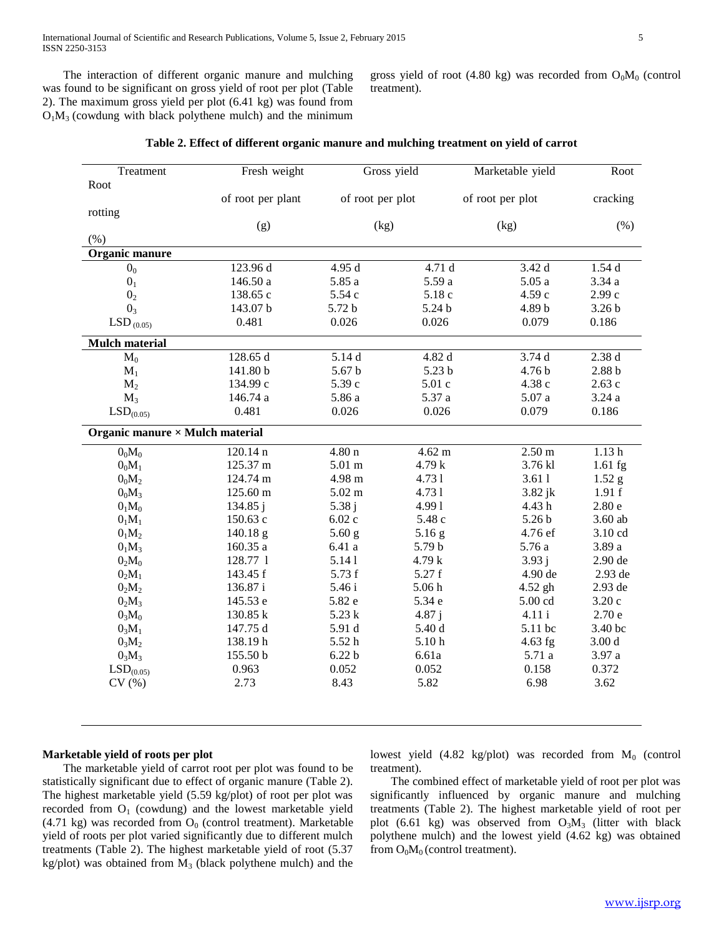The interaction of different organic manure and mulching was found to be significant on gross yield of root per plot (Table 2). The maximum gross yield per plot (6.41 kg) was found from  $O<sub>1</sub>M<sub>3</sub>$  (cowdung with black polythene mulch) and the minimum

gross yield of root (4.80 kg) was recorded from  $O_0M_0$  (control treatment).

|  |  |  |  |  | Table 2. Effect of different organic manure and mulching treatment on yield of carrot |  |  |  |  |
|--|--|--|--|--|---------------------------------------------------------------------------------------|--|--|--|--|
|--|--|--|--|--|---------------------------------------------------------------------------------------|--|--|--|--|

| Treatment                              | Fresh weight      | Gross yield       |                   | Marketable yield  | Root              |
|----------------------------------------|-------------------|-------------------|-------------------|-------------------|-------------------|
| Root                                   |                   |                   |                   |                   |                   |
|                                        | of root per plant | of root per plot  |                   | of root per plot  | cracking          |
| rotting                                |                   |                   |                   |                   |                   |
|                                        | (g)               | (kg)              |                   | (kg)              | (% )              |
| (% )                                   |                   |                   |                   |                   |                   |
| Organic manure                         |                   |                   |                   |                   |                   |
| 0 <sub>0</sub>                         | 123.96 d          | 4.95 d            | 4.71 d            | 3.42d             | 1.54d             |
| 0 <sub>1</sub>                         | 146.50 a          | 5.85 a            | 5.59 a            | 5.05a             | 3.34a             |
| 0 <sub>2</sub>                         | 138.65 c          | 5.54 c            | 5.18 c            | 4.59 с            | 2.99c             |
| 0 <sub>3</sub>                         | 143.07 b          | 5.72 b            | 5.24 b            | 4.89 b            | 3.26 <sub>b</sub> |
| LSD $_{(0.05)}$                        | 0.481             | 0.026             | 0.026             | 0.079             | 0.186             |
| Mulch material                         |                   |                   |                   |                   |                   |
| $M_0$                                  | 128.65 d          | 5.14 d            | 4.82 d            | 3.74d             | 2.38d             |
| $M_1$                                  | 141.80 b          | 5.67 <sub>b</sub> | 5.23 <sub>b</sub> | 4.76 b            | 2.88 <sub>b</sub> |
| $M_2$                                  | 134.99 с          | 5.39 c            | 5.01 c            | 4.38 c            | 2.63c             |
| $M_3$                                  | 146.74 a          | 5.86 a            | 5.37 a            | 5.07 a            | 3.24a             |
| LSD <sub>(0.05)</sub>                  | 0.481             | 0.026             | 0.026             | 0.079             | $0.186\,$         |
| Organic manure $\times$ Mulch material |                   |                   |                   |                   |                   |
| $0_0M_0$                               | 120.14 n          | 4.80 <sub>n</sub> | $4.62 \text{ m}$  | $2.50 \text{ m}$  | 1.13h             |
| $0_0M_1$                               | 125.37 m          | $5.01 \text{ m}$  | 4.79 k            | 3.76 kl           | $1.61$ fg         |
| $0_0M_2$                               | 124.74 m          | 4.98 m            | 4.731             | 3.611             | $1.52$ g          |
| $0_0M_3$                               | 125.60 m          | $5.02 \text{ m}$  | 4.731             | $3.82$ j $k$      | 1.91 f            |
| 0 <sub>1</sub> M <sub>0</sub>          | 134.85 j          | 5.38j             | 4.991             | 4.43h             | 2.80e             |
| 0 <sub>1</sub> M <sub>1</sub>          | 150.63 c          | 6.02c             | 5.48 c            | 5.26 <sub>b</sub> | 3.60 ab           |
| $0_1M_2$                               | 140.18 g          | $5.60$ g          | $5.16$ g          | 4.76 ef           | 3.10 cd           |
| $0_1M_3$                               | 160.35a           | 6.41 a            | 5.79 b            | 5.76 a            | 3.89 a            |
| 0 <sub>2</sub> M <sub>0</sub>          | 128.77 1          | 5.141             | 4.79 k            | 3.93 i            | 2.90 de           |
| 0 <sub>2</sub> M <sub>1</sub>          | 143.45 f          | 5.73 f            | 5.27 f            | 4.90 de           | 2.93 de           |
| 0 <sub>2</sub> M <sub>2</sub>          | 136.87i           | 5.46 i            | 5.06h             | 4.52 gh           | 2.93 de           |
| $0_2M_3$                               | 145.53 e          | 5.82 e            | 5.34 e            | 5.00 cd           | 3.20c             |
| 0 <sub>3</sub> M <sub>0</sub>          | 130.85 k          | 5.23k             | 4.87j             | 4.11 i            | 2.70e             |
| $0_3M_1$                               | 147.75 d          | 5.91 d            | 5.40 d            | 5.11 bc           | 3.40 bc           |
| $0_3M_2$                               | 138.19h           | 5.52h             | 5.10h             | $4.63$ fg         | 3.00 <sub>d</sub> |
| $0_3M_3$                               | 155.50 b          | 6.22 <sub>b</sub> | 6.61a             | 5.71 a            | 3.97 a            |
| LSD <sub>(0.05)</sub>                  | 0.963             | 0.052             | 0.052             | 0.158             | 0.372             |
| CV(%)                                  | 2.73              | 8.43              | 5.82              | 6.98              | 3.62              |
|                                        |                   |                   |                   |                   |                   |

### **Marketable yield of roots per plot**

 The marketable yield of carrot root per plot was found to be statistically significant due to effect of organic manure (Table 2). The highest marketable yield (5.59 kg/plot) of root per plot was recorded from  $O<sub>1</sub>$  (cowdung) and the lowest marketable yield (4.71 kg) was recorded from  $O_0$  (control treatment). Marketable yield of roots per plot varied significantly due to different mulch treatments (Table 2). The highest marketable yield of root (5.37 kg/plot) was obtained from  $M_3$  (black polythene mulch) and the

lowest yield  $(4.82 \text{ kg/phot})$  was recorded from  $M_0$  (control treatment).

 The combined effect of marketable yield of root per plot was significantly influenced by organic manure and mulching treatments (Table 2). The highest marketable yield of root per plot (6.61 kg) was observed from  $O_3M_3$  (litter with black polythene mulch) and the lowest yield (4.62 kg) was obtained from  $O_0M_0$  (control treatment).